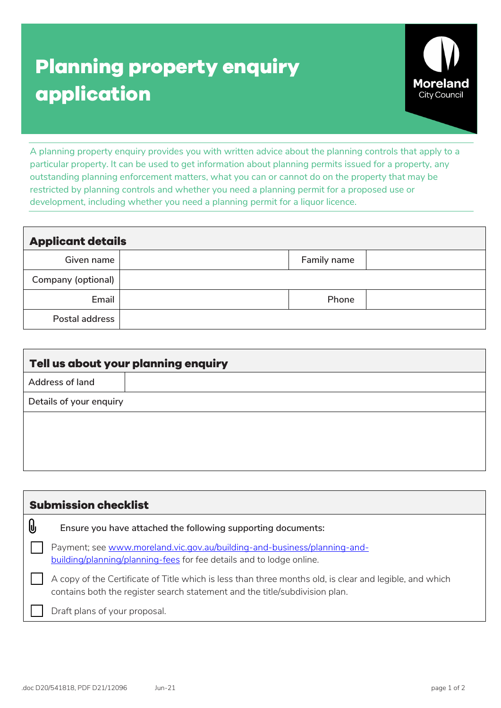## **Planning property enquiry application**



A planning property enquiry provides you with written advice about the planning controls that apply to a particular property. It can be used to get information about planning permits issued for a property, any outstanding planning enforcement matters, what you can or cannot do on the property that may be restricted by planning controls and whether you need a planning permit for a proposed use or development, including whether you need a planning permit for a liquor licence.

| <b>Applicant details</b> |             |  |
|--------------------------|-------------|--|
| Given name               | Family name |  |
| Company (optional)       |             |  |
| Email                    | Phone       |  |
| Postal address           |             |  |

| Tell us about your planning enquiry |  |  |
|-------------------------------------|--|--|
| <b>Address of land</b>              |  |  |
| Details of your enquiry             |  |  |
|                                     |  |  |
|                                     |  |  |
|                                     |  |  |

|    | <b>Submission checklist</b>                                                                                                                                                            |
|----|----------------------------------------------------------------------------------------------------------------------------------------------------------------------------------------|
| Q, | Ensure you have attached the following supporting documents:                                                                                                                           |
|    | Payment; see www.moreland.vic.gov.au/building-and-business/planning-and-<br>building/planning/planning-fees for fee details and to lodge online.                                       |
|    | A copy of the Certificate of Title which is less than three months old, is clear and legible, and which<br>contains both the register search statement and the title/subdivision plan. |
|    | Draft plans of your proposal.                                                                                                                                                          |